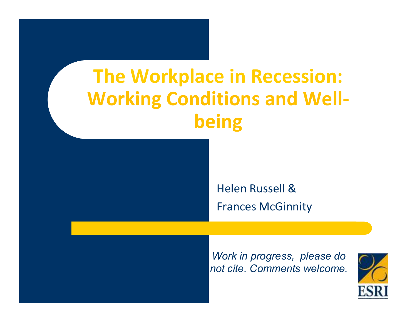# **The Workplace in Recession: Working Conditions and Wellbeing**



*Work in progress, please do not cite. Comments welcome.*

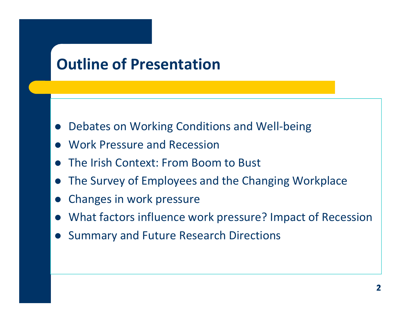### **Outline of Presentation**

- $\bullet$ Debates on Working Conditions and Well-being
- $\bullet$ Work Pressure and Recession
- $\bullet$ The Irish Context: From Boom to Bust
- $\bullet$ The Survey of Employees and the Changing Workplace
- $\bullet$ Changes in work pressure
- What factors influence work pressure? Impact of Recession
- $\bullet$ Summary and Future Research Directions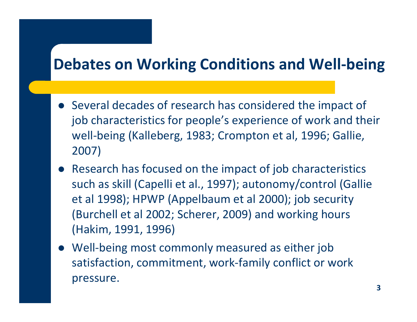### **Debates on Working Conditions and Well-being**

- Several decades of research has considered the impact of job characteristics for people's experience of work and their well-being (Kalleberg, 1983; Crompton et al, 1996; Gallie, 2007)
- Research has focused on the impact of job characteristics such as skill (Capelli et al., 1997); autonomy/control (Gallie et al 1998); HPWP (Appelbaum et al 2000); job security (Burchell et al 2002; Scherer, 2009) and working hours (Hakim, 1991, 1996)
- Well-being most commonly measured as either job satisfaction, commitment, work-family conflict or work pressure.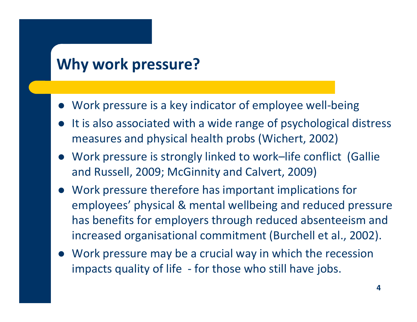### **Why work pressure?**

- Work pressure is a key indicator of employee well-being
- It is also associated with a wide range of psychological distress measures and physical health probs (Wichert, 2002)
- Work pressure is strongly linked to work –life conflict (Gallie and Russell, 2009; McGinnity and Calvert, 2009)
- Work pressure therefore has important implications for employees' physical & mental wellbeing and reduced pressure has benefits for employers through reduced absenteeism and increased organisational commitment (Burchell et al., 2002).
- Work pressure may be a crucial way in which the recession impacts quality of life - for those who still have jobs.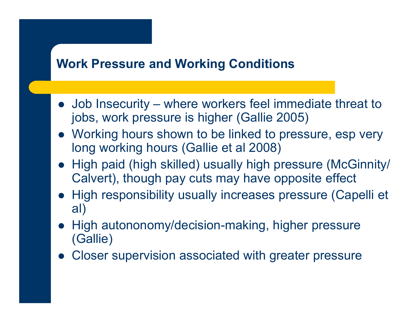#### **Work Pressure and Working Conditions**

- Job Insecurity where workers feel immediate threat to  $\frac{1}{2}$  is he work pressure is bigher (Callie 2005) jobs, work pressure is higher (Gallie 2005)
- Working hours shown to be linked to pressure, esp very long working hours (Gallie et al 2008)
- High paid (high skilled) usually high pressure (McGinnity/ Calvert), though pay cuts may have opposite effect
- High responsibility usually increases pressure (Capelli et al)
- High autononomy/decision-making, higher pressure (Gallie)
- $\bullet$ Closer supervision associated with greater pressure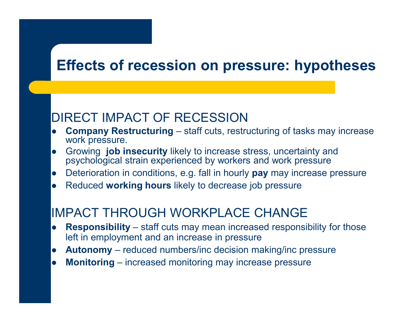### **Effects of recession on pressure: hypotheses**

#### DIRECT IMPACT OF RECESSION

- $\bullet$ **Company Restructuring** – staff cuts, restructuring of tasks may increase work pressure.
- Growing **job insecurity** likely to increase stress, uncertainty and<br>novebological strain experienced by workers and work preseure  $\bullet$ psychological strain experienced by workers and work pressure
- Deterioration in conditions, e.g. fall in hourly **pay** may increase pressure  $\bullet$
- $\bullet$ Reduced **working hours** likely to decrease job pressure

#### IMPACT THROUGH WORKPLACE CHANGE

- **Responsibility** staff cuts may mean increased responsibility for those  $\bullet$ left in employment and an increase in pressure
- **Autonomy** reduced numbers/inc decision making/inc pressure  $\bullet$
- $\bullet$ **Monitoring** – increased monitoring may increase pressure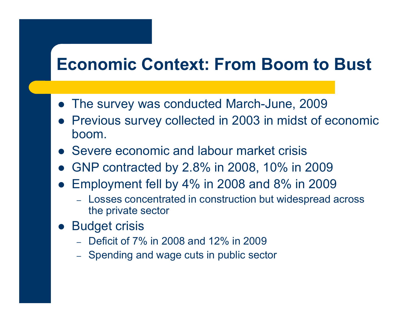# **Economic Context: From Boom to Bust**

- The survey was conducted March-June, 2009
- Previous survey collected in 2003 in midst of economic boom.
- **Severe economic and labour market crisis**
- GNP contracted by 2.8% in 2008, 10% in 2009
- $\bullet$  Employment fell by 4% in 2008 and 8% in 2009
	- Losses concentrated in construction but widespread across the private sector
- $\bullet$  Budget crisis
	- $-$  Deficit of 7% in 2008 and 12% in 2009
	- Spending and wage cuts in public sector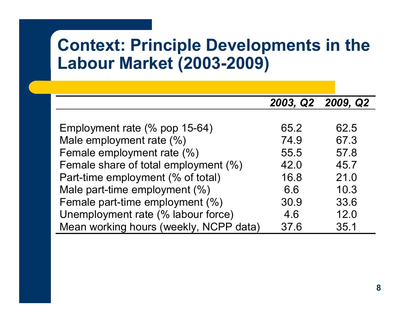# **Context: Principle Developments in the Labour Market (2003-2009)**

|                                        |      | 2003, Q2 2009, Q2 |
|----------------------------------------|------|-------------------|
|                                        |      |                   |
| Employment rate (% pop 15-64)          | 65.2 | 62.5              |
| Male employment rate (%)               | 74.9 | 67.3              |
| Female employment rate (%)             | 55.5 | 57.8              |
| Female share of total employment (%)   | 42.0 | 45.7              |
| Part-time employment (% of total)      | 16.8 | 21.0              |
| Male part-time employment (%)          | 6.6  | 10.3              |
| Female part-time employment (%)        | 30.9 | 33.6              |
| Unemployment rate (% labour force)     | 4.6  | 12.0              |
| Mean working hours (weekly, NCPP data) | 37.6 | 35.1              |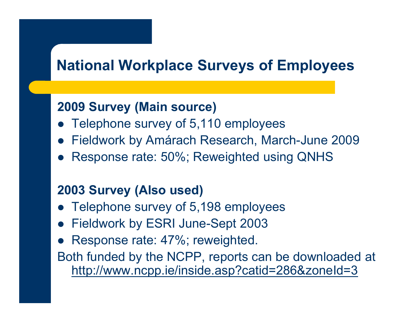### **National Workplace Surveys of Employees**

#### **2009 Survey (Main source)**

- Telephone survey of 5,110 employees
- $\bullet$ Fieldwork by Amárach Research, March-June 2009
- $\bullet$ Response rate: 50%; Reweighted using QNHS

#### **2003 Survey (Also used)**

- Telephone survey of 5,198 employees
- Fieldwork by ESRI June-Sept 2003
- $\bullet$ Response rate: 47%; reweighted.

Both funded by the NCPP, reports can be downloaded at http://www.ncpp.ie/inside.asp?catid=286&zoneId=3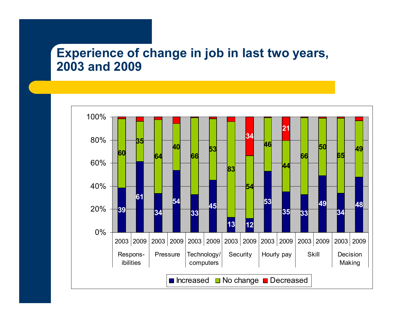#### **Experience of change in job in last two years, 2003 and 2009**

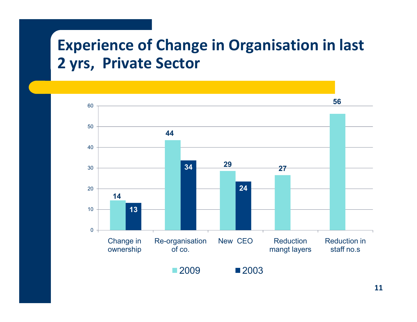### **Experience of Change in Organisation in last 2 yrs, Private Sector**



**11**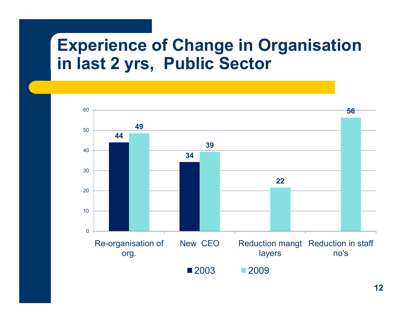# **Experience of Change in Organisation in last 2 yrs, Public Sector**

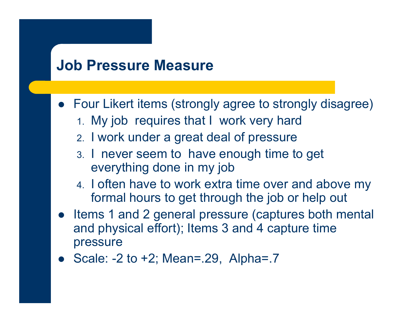#### **Job Pressure Measure**

- Four Likert items (strongly agree to strongly disagree)
	- 1. My job requires that I work very hard
	- 2. I work under a great deal of pressure
	- 3. I never seem to have enough time to get everything done in my job
	- 4. I often have to work extra time over and above my formal hours to get through the job or help out
- Items 1 and 2 general pressure (captures both mental and physical effort); Items 3 and 4 capture time pressure
- Scale:  $-2$  to  $+2$ ; Mean=.29, Alpha=.7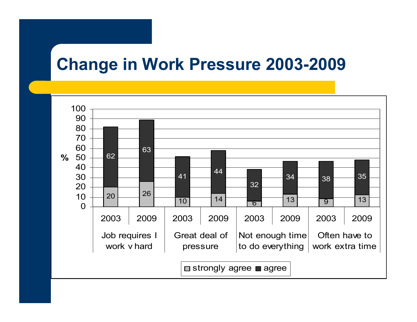### **Change in Work Pressure 2003-2009**

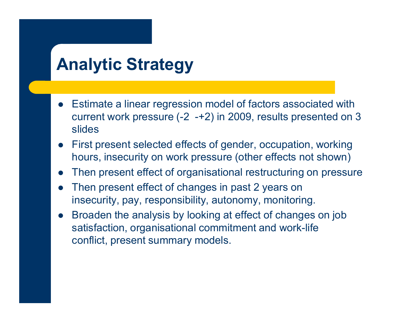# **Analytic Strategy**

- Estimate a linear regression model of factors associated with current work pressure (-2 -+2) in 2009, results presented on 3 slides
- First present selected effects of gender, occupation, working hours, insecurity on work pressure (other effects not shown)
- $\bullet$ Then present effect of organisational restructuring on pressure
- $\bullet$  Then present effect of changes in past 2 years on insecurity, pay, responsibility, autonomy, monitoring.
- $\bullet$  Broaden the analysis by looking at effect of changes on job satisfaction, organisational commitment and work-life conflict, present summary models.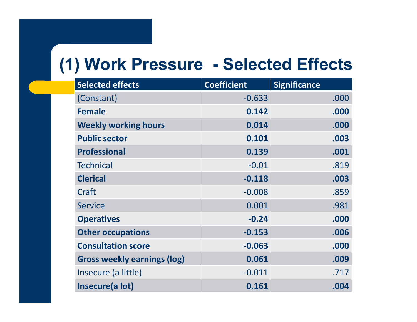# **(1) Work Pressure - Selected Effects**

| <b>Selected effects</b>            | <b>Coefficient</b> | <b>Significance</b> |
|------------------------------------|--------------------|---------------------|
| (Constant)                         | $-0.633$           | .000                |
| <b>Female</b>                      | 0.142              | .000                |
| <b>Weekly working hours</b>        | 0.014              | .000                |
| <b>Public sector</b>               | 0.101              | .003                |
| <b>Professional</b>                | 0.139              | .001                |
| <b>Technical</b>                   | $-0.01$            | .819                |
| <b>Clerical</b>                    | $-0.118$           | .003                |
| Craft                              | $-0.008$           | .859                |
| <b>Service</b>                     | 0.001              | .981                |
| <b>Operatives</b>                  | $-0.24$            | .000                |
| <b>Other occupations</b>           | $-0.153$           | .006                |
| <b>Consultation score</b>          | $-0.063$           | .000                |
| <b>Gross weekly earnings (log)</b> | 0.061              | .009                |
| Insecure (a little)                | $-0.011$           | .717                |
| Insecure(a lot)                    | 0.161              | .004                |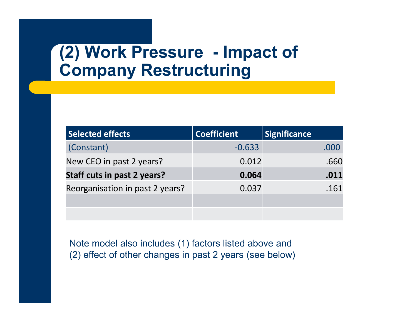# **(2) Work Pressure - Impact of Company Restructuring**

| <b>Selected effects</b>            | <b>Coefficient</b> | <b>Significance</b> |
|------------------------------------|--------------------|---------------------|
| (Constant)                         | $-0.633$           | .000                |
| New CEO in past 2 years?           | 0.012              | .660                |
| <b>Staff cuts in past 2 years?</b> | 0.064              | .011                |
| Reorganisation in past 2 years?    | 0.037              | .161                |
|                                    |                    |                     |
|                                    |                    |                     |

Note model also includes (1) factors listed above and (2) effect of other changes in past 2 years (see below)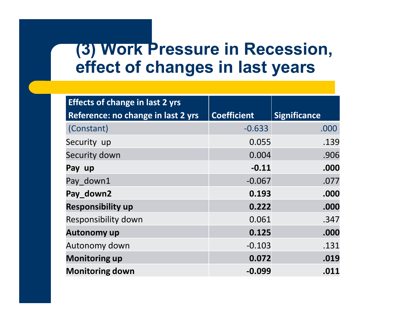### **(3) Work Pressure in Recession, effect of changes in last years**

| <b>Effects of change in last 2 yrs</b> |                    |                     |
|----------------------------------------|--------------------|---------------------|
| Reference: no change in last 2 yrs     | <b>Coefficient</b> | <b>Significance</b> |
| (Constant)                             | $-0.633$           | .000                |
| Security up                            | 0.055              | .139                |
| Security down                          | 0.004              | .906                |
| Pay up                                 | $-0.11$            | .000                |
| Pay down1                              | $-0.067$           | .077                |
| Pay_down2                              | 0.193              | .000                |
| <b>Responsibility up</b>               | 0.222              | .000                |
| Responsibility down                    | 0.061              | .347                |
| <b>Autonomy up</b>                     | 0.125              | .000                |
| Autonomy down                          | $-0.103$           | .131                |
| <b>Monitoring up</b>                   | 0.072              | .019                |
| <b>Monitoring down</b>                 | $-0.099$           | .011                |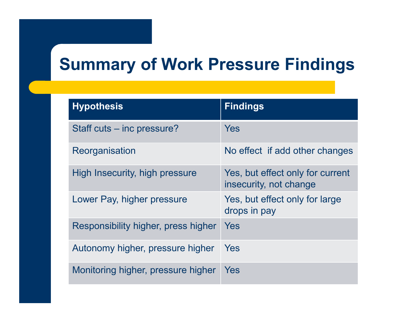# **Summary of Work Pressure Findings**

| <b>Hypothesis</b>                   | <b>Findings</b>                                            |
|-------------------------------------|------------------------------------------------------------|
| Staff cuts – inc pressure?          | Yes                                                        |
| Reorganisation                      | No effect if add other changes                             |
| High Insecurity, high pressure      | Yes, but effect only for current<br>insecurity, not change |
| Lower Pay, higher pressure          | Yes, but effect only for large<br>drops in pay             |
| Responsibility higher, press higher | Yes                                                        |
| Autonomy higher, pressure higher    | Yes                                                        |
| Monitoring higher, pressure higher  | Yes                                                        |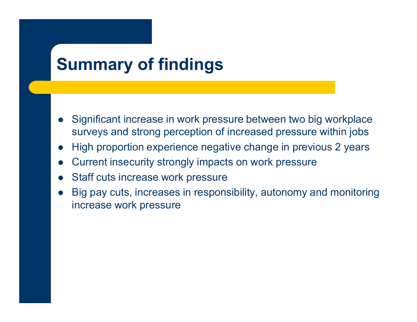# **Summary of findings**

- $\bullet$  Significant increase in work pressure between two big workplace surveys and strong perception of increased pressure within jobs
- $\bullet$ High proportion experience negative change in previous 2 years
- $\bullet$ Current insecurity strongly impacts on work pressur e
- $\bullet$ Staff cuts increase work pressure
- $\bullet$  Big pay cuts, increases in responsibility, autonomy and monitoring increase work pressure